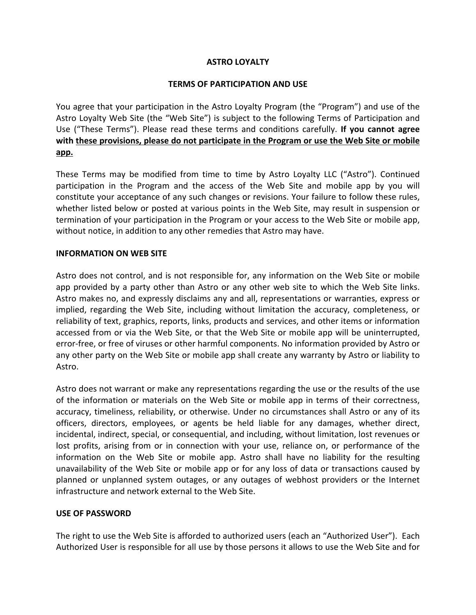### **ASTRO LOYALTY**

### **TERMS OF PARTICIPATION AND USE**

You agree that your participation in the Astro Loyalty Program (the "Program") and use of the Astro Loyalty Web Site (the "Web Site") is subject to the following Terms of Participation and Use ("These Terms"). Please read these terms and conditions carefully. If you cannot agree with these provisions, please do not participate in the Program or use the Web Site or mobile **app.**

These Terms may be modified from time to time by Astro Loyalty LLC ("Astro"). Continued participation in the Program and the access of the Web Site and mobile app by you will constitute your acceptance of any such changes or revisions. Your failure to follow these rules, whether listed below or posted at various points in the Web Site, may result in suspension or termination of your participation in the Program or your access to the Web Site or mobile app, without notice, in addition to any other remedies that Astro may have.

#### **INFORMATION ON WEB SITE**

Astro does not control, and is not responsible for, any information on the Web Site or mobile app provided by a party other than Astro or any other web site to which the Web Site links. Astro makes no, and expressly disclaims any and all, representations or warranties, express or implied, regarding the Web Site, including without limitation the accuracy, completeness, or reliability of text, graphics, reports, links, products and services, and other items or information accessed from or via the Web Site, or that the Web Site or mobile app will be uninterrupted, error-free, or free of viruses or other harmful components. No information provided by Astro or any other party on the Web Site or mobile app shall create any warranty by Astro or liability to Astro.

Astro does not warrant or make any representations regarding the use or the results of the use of the information or materials on the Web Site or mobile app in terms of their correctness, accuracy, timeliness, reliability, or otherwise. Under no circumstances shall Astro or any of its officers, directors, employees, or agents be held liable for any damages, whether direct, incidental, indirect, special, or consequential, and including, without limitation, lost revenues or lost profits, arising from or in connection with your use, reliance on, or performance of the information on the Web Site or mobile app. Astro shall have no liability for the resulting unavailability of the Web Site or mobile app or for any loss of data or transactions caused by planned or unplanned system outages, or any outages of webhost providers or the Internet infrastructure and network external to the Web Site.

### **USE OF PASSWORD**

The right to use the Web Site is afforded to authorized users (each an "Authorized User"). Each Authorized User is responsible for all use by those persons it allows to use the Web Site and for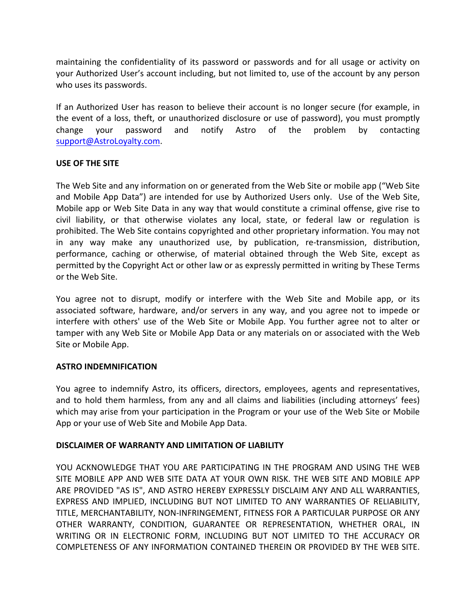maintaining the confidentiality of its password or passwords and for all usage or activity on your Authorized User's account including, but not limited to, use of the account by any person who uses its passwords.

If an Authorized User has reason to believe their account is no longer secure (for example, in the event of a loss, theft, or unauthorized disclosure or use of password), you must promptly change your password and notify Astro of the problem by contacting support@AstroLoyalty.com. 

## **USE OF THE SITE**

The Web Site and any information on or generated from the Web Site or mobile app ("Web Site and Mobile App Data") are intended for use by Authorized Users only. Use of the Web Site, Mobile app or Web Site Data in any way that would constitute a criminal offense, give rise to civil liability, or that otherwise violates any local, state, or federal law or regulation is prohibited. The Web Site contains copyrighted and other proprietary information. You may not in any way make any unauthorized use, by publication, re-transmission, distribution, performance, caching or otherwise, of material obtained through the Web Site, except as permitted by the Copyright Act or other law or as expressly permitted in writing by These Terms or the Web Site.

You agree not to disrupt, modify or interfere with the Web Site and Mobile app, or its associated software, hardware, and/or servers in any way, and you agree not to impede or interfere with others' use of the Web Site or Mobile App. You further agree not to alter or tamper with any Web Site or Mobile App Data or any materials on or associated with the Web Site or Mobile App.

# **ASTRO INDEMNIFICATION**

You agree to indemnify Astro, its officers, directors, employees, agents and representatives, and to hold them harmless, from any and all claims and liabilities (including attorneys' fees) which may arise from your participation in the Program or your use of the Web Site or Mobile App or your use of Web Site and Mobile App Data.

# **DISCLAIMER OF WARRANTY AND LIMITATION OF LIABILITY**

YOU ACKNOWLEDGE THAT YOU ARE PARTICIPATING IN THE PROGRAM AND USING THE WEB SITE MOBILE APP AND WEB SITE DATA AT YOUR OWN RISK. THE WEB SITE AND MOBILE APP ARE PROVIDED "AS IS", AND ASTRO HEREBY EXPRESSLY DISCLAIM ANY AND ALL WARRANTIES, EXPRESS AND IMPLIED, INCLUDING BUT NOT LIMITED TO ANY WARRANTIES OF RELIABILITY, TITLE, MERCHANTABILITY, NON-INFRINGEMENT, FITNESS FOR A PARTICULAR PURPOSE OR ANY OTHER WARRANTY, CONDITION, GUARANTEE OR REPRESENTATION, WHETHER ORAL, IN WRITING OR IN ELECTRONIC FORM, INCLUDING BUT NOT LIMITED TO THE ACCURACY OR COMPLETENESS OF ANY INFORMATION CONTAINED THEREIN OR PROVIDED BY THE WEB SITE.